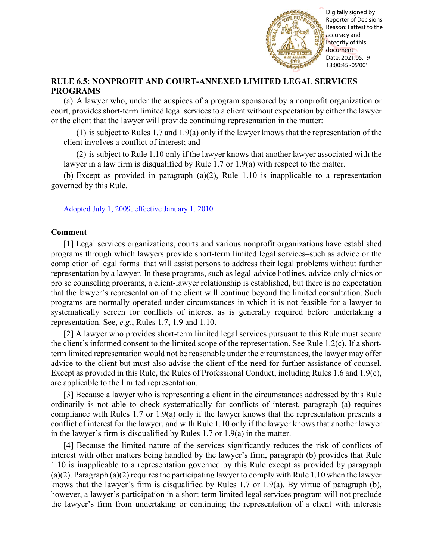

Reporter of Decisions Reason: I attest to the accuracy and integrity of this document Date: 2021.05.19 18:00:45 -05'00'

## **RULE 6.5: NONPROFIT AND COURT-ANNEXED LIMITED LEGAL SERVICES PROGRAMS**

(a) A lawyer who, under the auspices of a program sponsored by a nonprofit organization or court, provides short-term limited legal services to a client without expectation by either the lawyer or the client that the lawyer will provide continuing representation in the matter:

 $(1)$  is subject to Rules 1.7 and 1.9(a) only if the lawyer knows that the representation of the client involves a conflict of interest; and

(2) is subject to Rule 1.10 only if the lawyer knows that another lawyer associated with the lawyer in a law firm is disqualified by Rule 1.7 or 1.9(a) with respect to the matter.

(b) Except as provided in paragraph (a)(2), Rule 1.10 is inapplicable to a representation governed by this Rule.

[Adopted July 1, 2009, effective January 1, 2010.](http://www.illinoiscourts.gov/files/070109.pdf/amendment)

## **Comment**

[1] Legal services organizations, courts and various nonprofit organizations have established programs through which lawyers provide short-term limited legal services–such as advice or the completion of legal forms–that will assist persons to address their legal problems without further representation by a lawyer. In these programs, such as legal-advice hotlines, advice-only clinics or pro se counseling programs, a client-lawyer relationship is established, but there is no expectation that the lawyer's representation of the client will continue beyond the limited consultation. Such programs are normally operated under circumstances in which it is not feasible for a lawyer to systematically screen for conflicts of interest as is generally required before undertaking a representation. See, *e.g*., Rules 1.7, 1.9 and 1.10. Fig. 11.1 The state of the lawyer with the lawyer state of the representation of the lawyer's firm in the representation of the lawyer state of the representation of the representation of a client with the lawyer with the

[2] A lawyer who provides short-term limited legal services pursuant to this Rule must secure the client's informed consent to the limited scope of the representation. See Rule 1.2(c). If a shortterm limited representation would not be reasonable under the circumstances, the lawyer may offer advice to the client but must also advise the client of the need for further assistance of counsel. Except as provided in this Rule, the Rules of Professional Conduct, including Rules 1.6 and 1.9(c), are applicable to the limited representation.

[3] Because a lawyer who is representing a client in the circumstances addressed by this Rule ordinarily is not able to check systematically for conflicts of interest, paragraph (a) requires compliance with Rules 1.7 or 1.9(a) only if the lawyer knows that the representation presents a conflict of interest for the lawyer, and with Rule 1.10 only if the lawyer knows that another lawyer in the lawyer's firm is disqualified by Rules 1.7 or 1.9(a) in the matter.

[4] Because the limited nature of the services significantly reduces the risk of conflicts of interest with other matters being handled by the lawyer's firm, paragraph (b) provides that Rule 1.10 is inapplicable to a representation governed by this Rule except as provided by paragraph (a)(2). Paragraph (a)(2) requires the participating lawyer to comply with Rule 1.10 when the lawyer knows that the lawyer's firm is disqualified by Rules 1.7 or 1.9(a). By virtue of paragraph (b), however, a lawyer's participation in a short-term limited legal services program will not preclude